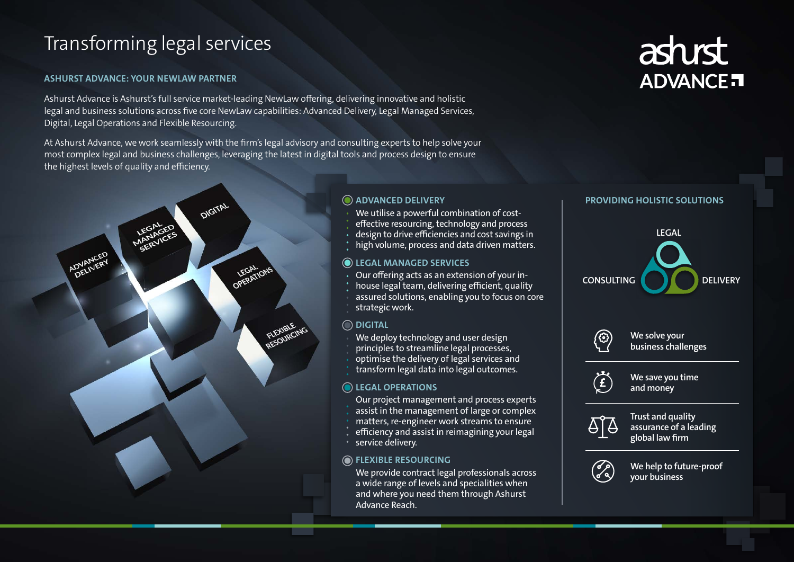# Transforming legal services

### **ASHURST ADVANCE: YOUR NEWLAW PARTNER**

Ashurst Advance is Ashurst's full service market-leading NewLaw offering, delivering innovative and holistic legal and business solutions across five core NewLaw capabilities: Advanced Delivery, Legal Managed Services, Digital, Legal Operations and Flexible Resourcing.

At Ashurst Advance, we work seamlessly with the firm's legal advisory and consulting experts to help solve your most complex legal and business challenges, leveraging the latest in digital tools and process design to ensure the highest levels of quality and efficiency.



# **PROVIDING HOLISTIC SOLUTIONS**

**We solve your business challenges**



**We save you time and money**



We provide contract legal professionals across a wide range of levels and specialities when and where you need them through Ashurst Advance Reach.



**Trust and quality assurance of a leading global law firm**



**We help to future-proof your business**

- Our project management and process experts
- assist in the management of large or complex
- matters, re-engineer work streams to ensure
- efficiency and assist in reimagining your legal
- service delivery.





### **ADVANCED DELIVERY**

- We utilise a powerful combination of cost-
- effective resourcing, technology and process
- design to drive efficiencies and cost savings in
- high volume, process and data driven matters.

# **LEGAL MANAGED SERVICES**

- Our offering acts as an extension of your in-
- house legal team, delivering efficient, quality
- assured solutions, enabling you to focus on core strategic work.

# **FLEXIBLE RESOURCING**

# **DIGITAL**

- We deploy technology and user design
- principles to streamline legal processes,
- optimise the delivery of legal services and
- transform legal data into legal outcomes.

# **O** LEGAL OPERATIONS